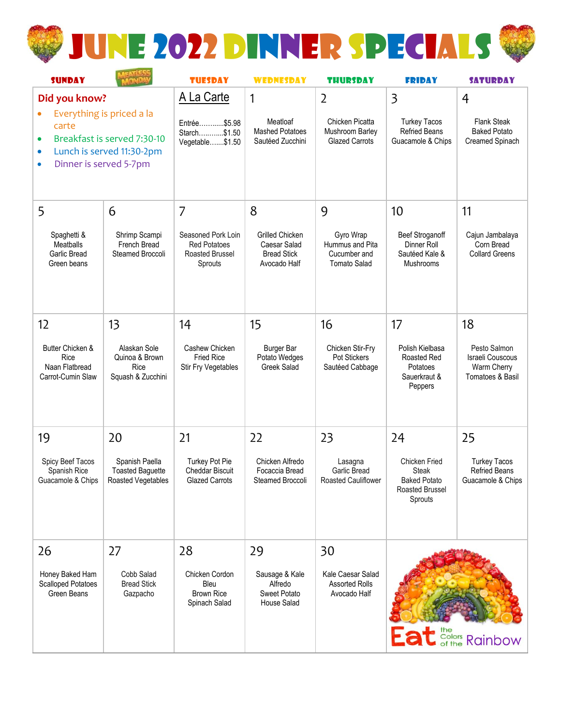

| <b>SUNDAY</b>                                                                                                                      |                                                                 | <b>TUESDAY</b>                                                          | <b>WEDNESDAY</b>                                                             | <b>THURSDAY</b>                                                     | <b>FRIDAY</b>                                                               | <b>SATURDAY</b>                                                     |
|------------------------------------------------------------------------------------------------------------------------------------|-----------------------------------------------------------------|-------------------------------------------------------------------------|------------------------------------------------------------------------------|---------------------------------------------------------------------|-----------------------------------------------------------------------------|---------------------------------------------------------------------|
| Did you know?<br>Everything is priced a la                                                                                         |                                                                 | A La Carte                                                              | 1                                                                            | $\overline{2}$                                                      | $\overline{\mathbf{3}}$                                                     | 4                                                                   |
| carte<br>Breakfast is served 7:30-10<br>$\bullet$<br>Lunch is served 11:30-2pm<br>$\bullet$<br>Dinner is served 5-7pm<br>$\bullet$ |                                                                 | Entrée\$5.98<br>Starch\$1.50<br>Vegetable\$1.50                         | Meatloaf<br><b>Mashed Potatoes</b><br>Sautéed Zucchini                       | Chicken Picatta<br>Mushroom Barley<br><b>Glazed Carrots</b>         | <b>Turkey Tacos</b><br><b>Refried Beans</b><br>Guacamole & Chips            | Flank Steak<br><b>Baked Potato</b><br>Creamed Spinach               |
| 5                                                                                                                                  | 6                                                               | 7                                                                       | 8                                                                            | 9                                                                   | 10                                                                          | 11                                                                  |
| Spaghetti &<br><b>Meatballs</b><br>Garlic Bread<br>Green beans                                                                     | Shrimp Scampi<br>French Bread<br>Steamed Broccoli               | Seasoned Pork Loin<br><b>Red Potatoes</b><br>Roasted Brussel<br>Sprouts | <b>Grilled Chicken</b><br>Caesar Salad<br><b>Bread Stick</b><br>Avocado Half | Gyro Wrap<br>Hummus and Pita<br>Cucumber and<br><b>Tomato Salad</b> | <b>Beef Stroganoff</b><br>Dinner Roll<br>Sautéed Kale &<br>Mushrooms        | Cajun Jambalaya<br>Corn Bread<br><b>Collard Greens</b>              |
| 12                                                                                                                                 | 13                                                              | 14                                                                      | 15                                                                           | 16                                                                  | 17                                                                          | 18                                                                  |
| Butter Chicken &<br>Rice<br>Naan Flatbread<br>Carrot-Cumin Slaw                                                                    | Alaskan Sole<br>Quinoa & Brown<br>Rice<br>Squash & Zucchini     | Cashew Chicken<br><b>Fried Rice</b><br>Stir Fry Vegetables              | <b>Burger Bar</b><br>Potato Wedges<br>Greek Salad                            | Chicken Stir-Fry<br>Pot Stickers<br>Sautéed Cabbage                 | Polish Kielbasa<br>Roasted Red<br>Potatoes<br>Sauerkraut &<br>Peppers       | Pesto Salmon<br>Israeli Couscous<br>Warm Cherry<br>Tomatoes & Basil |
| 19                                                                                                                                 | 20                                                              | 21                                                                      | 22                                                                           | 23                                                                  | 24                                                                          | 25                                                                  |
| Spicy Beef Tacos<br>Spanish Rice<br>Guacamole & Chips                                                                              | Spanish Paella<br><b>Toasted Baguette</b><br>Roasted Vegetables | <b>Turkey Pot Pie</b><br>Cheddar Biscuit<br><b>Glazed Carrots</b>       | Chicken Alfredo<br>Focaccia Bread<br>Steamed Broccoli                        | Lasagna<br>Garlic Bread<br><b>Roasted Cauliflower</b>               | Chicken Fried<br>Steak<br><b>Baked Potato</b><br>Roasted Brussel<br>Sprouts | <b>Turkey Tacos</b><br><b>Refried Beans</b><br>Guacamole & Chips    |
| 26                                                                                                                                 | 27                                                              | 28                                                                      | 29                                                                           | 30                                                                  |                                                                             |                                                                     |
| Honey Baked Ham<br><b>Scalloped Potatoes</b><br>Green Beans                                                                        | Cobb Salad<br><b>Bread Stick</b><br>Gazpacho                    | Chicken Cordon<br>Bleu<br><b>Brown Rice</b><br>Spinach Salad            | Sausage & Kale<br>Alfredo<br>Sweet Potato<br>House Salad                     | Kale Caesar Salad<br><b>Assorted Rolls</b><br>Avocado Half          |                                                                             | <b>Eat</b> Solors Rainbow                                           |